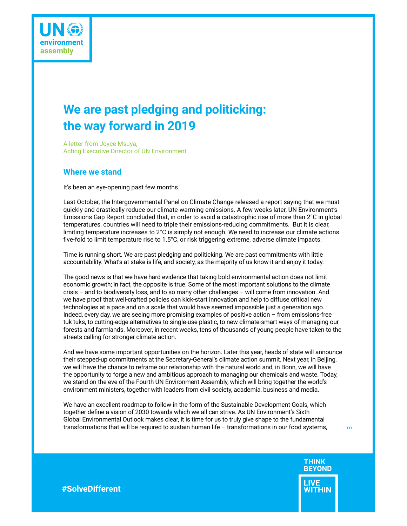# **We are past pledging and politicking: the way forward in 2019**

A letter from Joyce Msuya, Acting Executive Director of UN Environment

## **Where we stand**

It's been an eye-opening past few months.

Last October, the Intergovernmental Panel on Climate Change released a report saying that we must quickly and drastically reduce our climate-warming emissions. A few weeks later, UN Environment's Emissions Gap Report concluded that, in order to avoid a catastrophic rise of more than 2°C in global temperatures, countries will need to triple their emissions-reducing commitments. But it is clear, limiting temperature increases to 2°C is simply not enough. We need to increase our climate actions fve-fold to limit temperature rise to 1.5°C, or risk triggering extreme, adverse climate impacts.

Time is running short. We are past pledging and politicking. We are past commitments with little accountability. What's at stake is life, and society, as the majority of us know it and enjoy it today.

The good news is that we have hard evidence that taking bold environmental action does not limit economic growth; in fact, the opposite is true. Some of the most important solutions to the climate crisis – and to biodiversity loss, and to so many other challenges – will come from innovation. And we have proof that well-crafted policies can kick-start innovation and help to diffuse critical new technologies at a pace and on a scale that would have seemed impossible just a generation ago. Indeed, every day, we are seeing more promising examples of positive action – from emissions-free tuk tuks, to cutting-edge alternatives to single-use plastic, to new climate-smart ways of managing our forests and farmlands. Moreover, in recent weeks, tens of thousands of young people have taken to the streets calling for stronger climate action.

And we have some important opportunities on the horizon. Later this year, heads of state will announce their stepped-up commitments at the Secretary-General's climate action summit. Next year, in Beijing, we will have the chance to reframe our relationship with the natural world and, in Bonn, we will have the opportunity to forge a new and ambitious approach to managing our chemicals and waste. Today, we stand on the eve of the Fourth UN Environment Assembly, which will bring together the world's environment ministers, together with leaders from civil society, academia, business and media.

We have an excellent roadmap to follow in the form of the Sustainable Development Goals, which together defne a vision of 2030 towards which we all can strive. As UN Environment's Sixth Global Environmental Outlook makes clear, it is time for us to truly give shape to the fundamental transformations that will be required to sustain human life – transformations in our food systems,

›››

**THINK BEYOND** 

**LIVE WITHIN** 

**#SolveDifferent**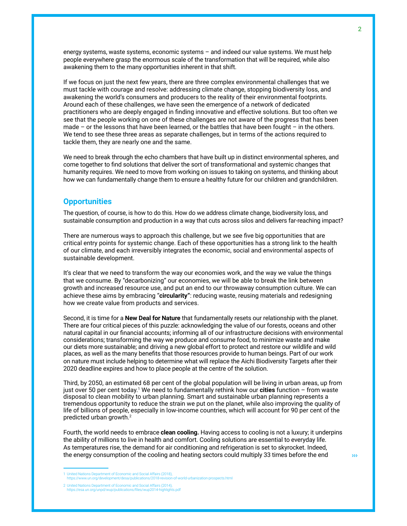energy systems, waste systems, economic systems – and indeed our value systems. We must help people everywhere grasp the enormous scale of the transformation that will be required, while also awakening them to the many opportunities inherent in that shift.

If we focus on just the next few years, there are three complex environmental challenges that we must tackle with courage and resolve: addressing climate change, stopping biodiversity loss, and awakening the world's consumers and producers to the reality of their environmental footprints. Around each of these challenges, we have seen the emergence of a network of dedicated practitioners who are deeply engaged in fnding innovative and effective solutions. But too often we see that the people working on one of these challenges are not aware of the progress that has been made – or the lessons that have been learned, or the battles that have been fought – in the others. We tend to see these three areas as separate challenges, but in terms of the actions required to tackle them, they are nearly one and the same.

We need to break through the echo chambers that have built up in distinct environmental spheres, and come together to fnd solutions that deliver the sort of transformational and systemic changes that humanity requires. We need to move from working on issues to taking on systems, and thinking about how we can fundamentally change them to ensure a healthy future for our children and grandchildren.

#### **Opportunities**

The question, of course, is how to do this. How do we address climate change, biodiversity loss, and sustainable consumption and production in a way that cuts across silos and delivers far-reaching impact?

There are numerous ways to approach this challenge, but we see fve big opportunities that are critical entry points for systemic change. Each of these opportunities has a strong link to the health of our climate, and each irreversibly integrates the economic, social and environmental aspects of sustainable development.

It's clear that we need to transform the way our economies work, and the way we value the things that we consume. By "decarbonizing" our economies, we will be able to break the link between growth and increased resource use, and put an end to our throwaway consumption culture. We can achieve these aims by embracing "**circularity"**: reducing waste, reusing materials and redesigning how we create value from products and services.

Second, it is time for a **New Deal for Nature** that fundamentally resets our relationship with the planet. There are four critical pieces of this puzzle: acknowledging the value of our forests, oceans and other natural capital in our fnancial accounts; informing all of our infrastructure decisions with environmental considerations; transforming the way we produce and consume food, to minimize waste and make our diets more sustainable; and driving a new global effort to protect and restore our wildlife and wild places, as well as the many benefts that those resources provide to human beings. Part of our work on nature must include helping to determine what will replace the Aichi Biodiversity Targets after their 2020 deadline expires and how to place people at the centre of the solution.

Third, by 2050, an estimated 68 per cent of the global population will be living in urban areas, up from just over 50 per cent today.<sup>1</sup> We need to fundamentally rethink how our **cities** function – from waste disposal to clean mobility to urban planning. Smart and sustainable urban planning represents a tremendous opportunity to reduce the strain we put on the planet, while also improving the quality of life of billions of people, especially in low-income countries, which will account for 90 per cent of the predicted urban growth.<sup>2</sup>

Fourth, the world needs to embrace **clean cooling.** Having access to cooling is not a luxury; it underpins the ability of millions to live in health and comfort. Cooling solutions are essential to everyday life. As temperatures rise, the demand for air conditioning and refrigeration is set to skyrocket. Indeed, the energy consumption of the cooling and heating sectors could multiply 33 times before the end

2 United Nations Department of Economic and Social Affairs (2014),

›››

<sup>1</sup> United Nations Department of Economic and Social Affairs (2018),<br>https://www.un.org/development/desa/publications/2018-revision-of-world-urbanization-prospects.html

https://www.un.org/development/desa/publications/2018-revi

https://esa.un.org/unpd/wup/publications/files/wup2014-highlights.pdf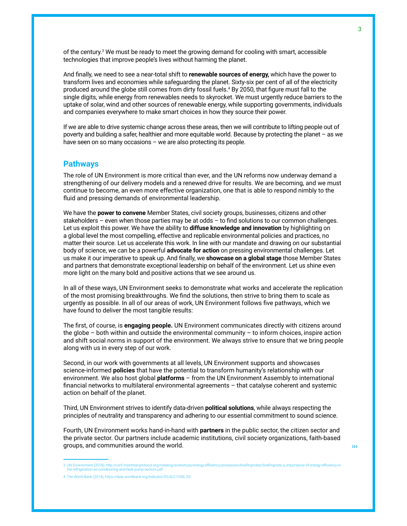of the century.<sup>3</sup> We must be ready to meet the growing demand for cooling with smart, accessible technologies that improve people's lives without harming the planet.

And fnally, we need to see a near-total shift to **renewable sources of energy,** which have the power to transform lives and economies while safeguarding the planet. Sixty-six per cent of all of the electricity produced around the globe still comes from dirty fossil fuels.4 By 2050, that fgure must fall to the single digits, while energy from renewables needs to skyrocket. We must urgently reduce barriers to the uptake of solar, wind and other sources of renewable energy, while supporting governments, individuals and companies everywhere to make smart choices in how they source their power.

If we are able to drive systemic change across these areas, then we will contribute to lifting people out of poverty and building a safer, healthier and more equitable world. Because by protecting the planet – as we have seen on so many occasions – we are also protecting its people.

#### **Pathways**

The role of UN Environment is more critical than ever, and the UN reforms now underway demand a strengthening of our delivery models and a renewed drive for results. We are becoming, and we must continue to become, an even more effective organization, one that is able to respond nimbly to the fuid and pressing demands of environmental leadership.

We have the **power to convene** Member States, civil society groups, businesses, citizens and other stakeholders – even when those parties may be at odds – to fnd solutions to our common challenges. Let us exploit this power. We have the ability to **diffuse knowledge and innovation** by highlighting on a global level the most compelling, effective and replicable environmental policies and practices, no matter their source. Let us accelerate this work. In line with our mandate and drawing on our substantial body of science, we can be a powerful **advocate for action** on pressing environmental challenges. Let us make it our imperative to speak up. And fnally, we **showcase on a global stage** those Member States and partners that demonstrate exceptional leadership on behalf of the environment. Let us shine even more light on the many bold and positive actions that we see around us.

In all of these ways, UN Environment seeks to demonstrate what works and accelerate the replication of the most promising breakthroughs. We fnd the solutions, then strive to bring them to scale as urgently as possible. In all of our areas of work, UN Environment follows fve pathways, which we have found to deliver the most tangible results:

The frst, of course, is **engaging people.** UN Environment communicates directly with citizens around the globe – both within and outside the environmental community – to inform choices, inspire action and shift social norms in support of the environment. We always strive to ensure that we bring people along with us in every step of our work.

Second, in our work with governments at all levels, UN Environment supports and showcases science-informed **policies** that have the potential to transform humanity's relationship with our environment. We also host global **platforms** – from the UN Environment Assembly to international fnancial networks to multilateral environmental agreements – that catalyse coherent and systemic action on behalf of the planet.

Third, UN Environment strives to identify data-driven **political solutions**, while always respecting the principles of neutrality and transparency and adhering to our essential commitment to sound science.

Fourth, UN Environment works hand-in-hand with **partners** in the public sector, the citizen sector and the private sector. Our partners include academic institutions, civil society organizations, faith-based groups, and communities around the world.

<sup>3</sup> UN Environment (2018), http://conf.montreal-protocol.org/meeting/workshops/energy-efciency/presession/breifngnotes/briefngnote-a\_importance-of-energy-efciency-initioning-and-heat-pump-sectors.pdf

<sup>4</sup> The World Bank (2014), https://data.worldbank.org/indicator/EG.ELC.FOSL.ZS